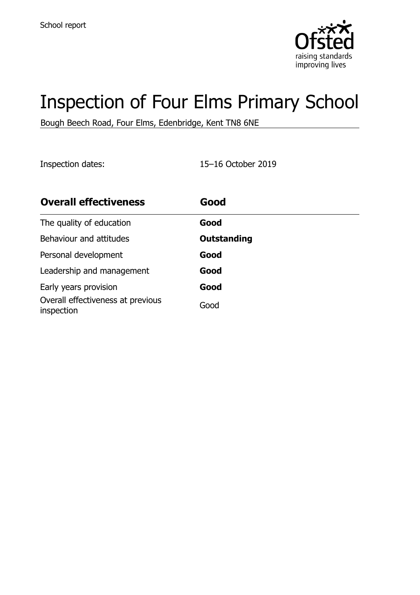

# Inspection of Four Elms Primary School

Bough Beech Road, Four Elms, Edenbridge, Kent TN8 6NE

Inspection dates: 15–16 October 2019

| <b>Overall effectiveness</b>                    | Good               |
|-------------------------------------------------|--------------------|
| The quality of education                        | Good               |
| Behaviour and attitudes                         | <b>Outstanding</b> |
| Personal development                            | Good               |
| Leadership and management                       | Good               |
| Early years provision                           | Good               |
| Overall effectiveness at previous<br>inspection | Good               |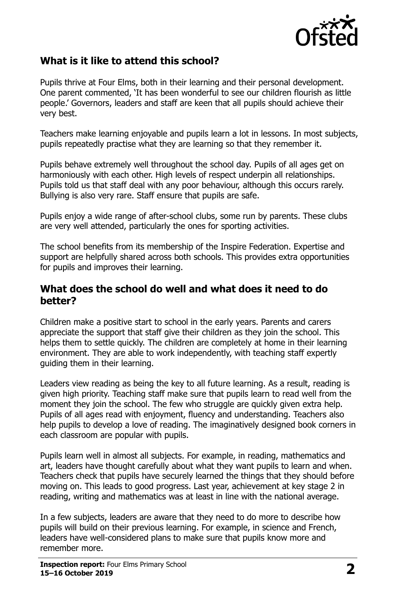

# **What is it like to attend this school?**

Pupils thrive at Four Elms, both in their learning and their personal development. One parent commented, 'It has been wonderful to see our children flourish as little people.' Governors, leaders and staff are keen that all pupils should achieve their very best.

Teachers make learning enjoyable and pupils learn a lot in lessons. In most subjects, pupils repeatedly practise what they are learning so that they remember it.

Pupils behave extremely well throughout the school day. Pupils of all ages get on harmoniously with each other. High levels of respect underpin all relationships. Pupils told us that staff deal with any poor behaviour, although this occurs rarely. Bullying is also very rare. Staff ensure that pupils are safe.

Pupils enjoy a wide range of after-school clubs, some run by parents. These clubs are very well attended, particularly the ones for sporting activities.

The school benefits from its membership of the Inspire Federation. Expertise and support are helpfully shared across both schools. This provides extra opportunities for pupils and improves their learning.

#### **What does the school do well and what does it need to do better?**

Children make a positive start to school in the early years. Parents and carers appreciate the support that staff give their children as they join the school. This helps them to settle quickly. The children are completely at home in their learning environment. They are able to work independently, with teaching staff expertly guiding them in their learning.

Leaders view reading as being the key to all future learning. As a result, reading is given high priority. Teaching staff make sure that pupils learn to read well from the moment they join the school. The few who struggle are quickly given extra help. Pupils of all ages read with enjoyment, fluency and understanding. Teachers also help pupils to develop a love of reading. The imaginatively designed book corners in each classroom are popular with pupils.

Pupils learn well in almost all subjects. For example, in reading, mathematics and art, leaders have thought carefully about what they want pupils to learn and when. Teachers check that pupils have securely learned the things that they should before moving on. This leads to good progress. Last year, achievement at key stage 2 in reading, writing and mathematics was at least in line with the national average.

In a few subjects, leaders are aware that they need to do more to describe how pupils will build on their previous learning. For example, in science and French, leaders have well-considered plans to make sure that pupils know more and remember more.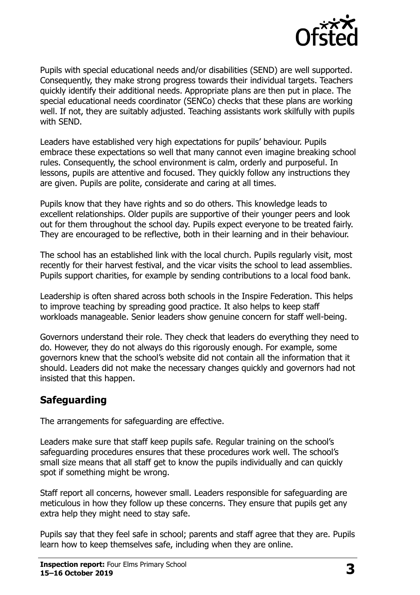

Pupils with special educational needs and/or disabilities (SEND) are well supported. Consequently, they make strong progress towards their individual targets. Teachers quickly identify their additional needs. Appropriate plans are then put in place. The special educational needs coordinator (SENCo) checks that these plans are working well. If not, they are suitably adjusted. Teaching assistants work skilfully with pupils with SEND.

Leaders have established very high expectations for pupils' behaviour. Pupils embrace these expectations so well that many cannot even imagine breaking school rules. Consequently, the school environment is calm, orderly and purposeful. In lessons, pupils are attentive and focused. They quickly follow any instructions they are given. Pupils are polite, considerate and caring at all times.

Pupils know that they have rights and so do others. This knowledge leads to excellent relationships. Older pupils are supportive of their younger peers and look out for them throughout the school day. Pupils expect everyone to be treated fairly. They are encouraged to be reflective, both in their learning and in their behaviour.

The school has an established link with the local church. Pupils regularly visit, most recently for their harvest festival, and the vicar visits the school to lead assemblies. Pupils support charities, for example by sending contributions to a local food bank.

Leadership is often shared across both schools in the Inspire Federation. This helps to improve teaching by spreading good practice. It also helps to keep staff workloads manageable. Senior leaders show genuine concern for staff well-being.

Governors understand their role. They check that leaders do everything they need to do. However, they do not always do this rigorously enough. For example, some governors knew that the school's website did not contain all the information that it should. Leaders did not make the necessary changes quickly and governors had not insisted that this happen.

### **Safeguarding**

The arrangements for safeguarding are effective.

Leaders make sure that staff keep pupils safe. Regular training on the school's safeguarding procedures ensures that these procedures work well. The school's small size means that all staff get to know the pupils individually and can quickly spot if something might be wrong.

Staff report all concerns, however small. Leaders responsible for safeguarding are meticulous in how they follow up these concerns. They ensure that pupils get any extra help they might need to stay safe.

Pupils say that they feel safe in school; parents and staff agree that they are. Pupils learn how to keep themselves safe, including when they are online.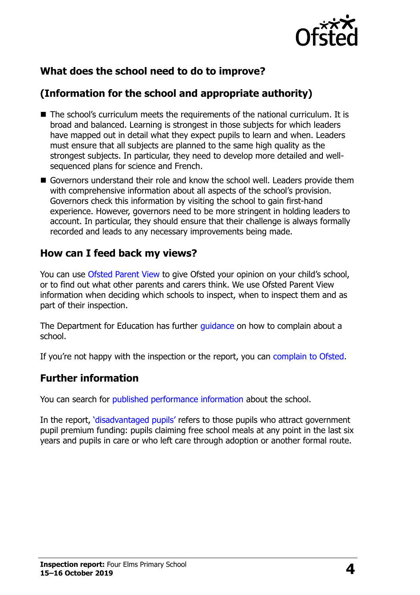

# **What does the school need to do to improve?**

# **(Information for the school and appropriate authority)**

- The school's curriculum meets the requirements of the national curriculum. It is broad and balanced. Learning is strongest in those subjects for which leaders have mapped out in detail what they expect pupils to learn and when. Leaders must ensure that all subjects are planned to the same high quality as the strongest subjects. In particular, they need to develop more detailed and wellsequenced plans for science and French.
- Governors understand their role and know the school well. Leaders provide them with comprehensive information about all aspects of the school's provision. Governors check this information by visiting the school to gain first-hand experience. However, governors need to be more stringent in holding leaders to account. In particular, they should ensure that their challenge is always formally recorded and leads to any necessary improvements being made.

### **How can I feed back my views?**

You can use [Ofsted Parent View](http://parentview.ofsted.gov.uk/) to give Ofsted your opinion on your child's school, or to find out what other parents and carers think. We use Ofsted Parent View information when deciding which schools to inspect, when to inspect them and as part of their inspection.

The Department for Education has further quidance on how to complain about a school.

If you're not happy with the inspection or the report, you can [complain to Ofsted.](http://www.gov.uk/complain-ofsted-report)

### **Further information**

You can search for [published performance information](http://www.compare-school-performance.service.gov.uk/) about the school.

In the report, '[disadvantaged pupils](http://www.gov.uk/guidance/pupil-premium-information-for-schools-and-alternative-provision-settings)' refers to those pupils who attract government pupil premium funding: pupils claiming free school meals at any point in the last six years and pupils in care or who left care through adoption or another formal route.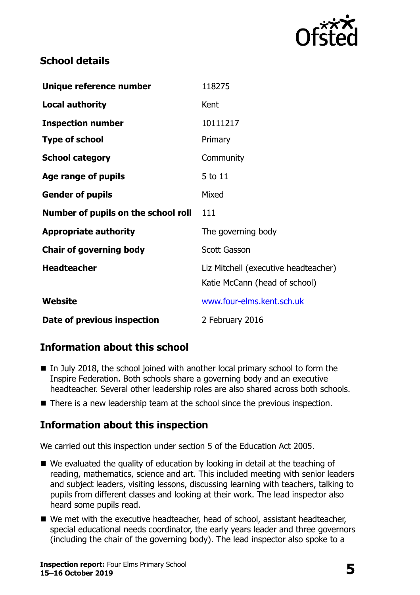

# **School details**

| Unique reference number             | 118275                                                                |
|-------------------------------------|-----------------------------------------------------------------------|
| <b>Local authority</b>              | Kent                                                                  |
| <b>Inspection number</b>            | 10111217                                                              |
| <b>Type of school</b>               | Primary                                                               |
| <b>School category</b>              | Community                                                             |
| Age range of pupils                 | 5 to 11                                                               |
| <b>Gender of pupils</b>             | Mixed                                                                 |
|                                     |                                                                       |
| Number of pupils on the school roll | 111                                                                   |
| <b>Appropriate authority</b>        | The governing body                                                    |
| <b>Chair of governing body</b>      | Scott Gasson                                                          |
| <b>Headteacher</b>                  | Liz Mitchell (executive headteacher)<br>Katie McCann (head of school) |
| Website                             | www.four-elms.kent.sch.uk                                             |

# **Information about this school**

- $\blacksquare$  In July 2018, the school joined with another local primary school to form the Inspire Federation. Both schools share a governing body and an executive headteacher. Several other leadership roles are also shared across both schools.
- There is a new leadership team at the school since the previous inspection.

### **Information about this inspection**

We carried out this inspection under section 5 of the Education Act 2005.

- We evaluated the quality of education by looking in detail at the teaching of reading, mathematics, science and art. This included meeting with senior leaders and subject leaders, visiting lessons, discussing learning with teachers, talking to pupils from different classes and looking at their work. The lead inspector also heard some pupils read.
- We met with the executive headteacher, head of school, assistant headteacher, special educational needs coordinator, the early years leader and three governors (including the chair of the governing body). The lead inspector also spoke to a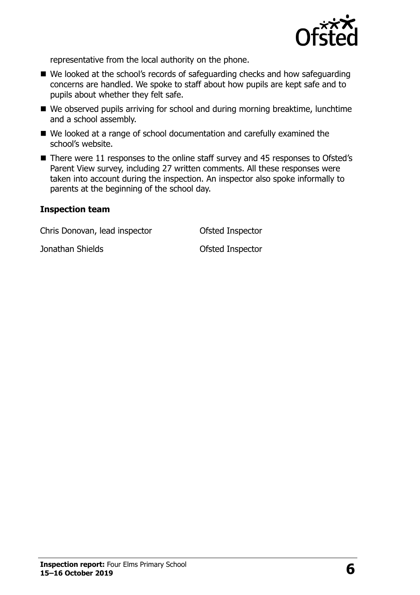

representative from the local authority on the phone.

- We looked at the school's records of safeguarding checks and how safeguarding concerns are handled. We spoke to staff about how pupils are kept safe and to pupils about whether they felt safe.
- We observed pupils arriving for school and during morning breaktime, lunchtime and a school assembly.
- We looked at a range of school documentation and carefully examined the school's website.
- There were 11 responses to the online staff survey and 45 responses to Ofsted's Parent View survey, including 27 written comments. All these responses were taken into account during the inspection. An inspector also spoke informally to parents at the beginning of the school day.

#### **Inspection team**

Chris Donovan, lead inspector Ofsted Inspector

**Jonathan Shields Constanting Constanting Constanting Constanting Constanting Constanting Constanting Constanting Constanting Constanting Constanting Constanting Constanting Constanting Constanting Constanting Constantin**